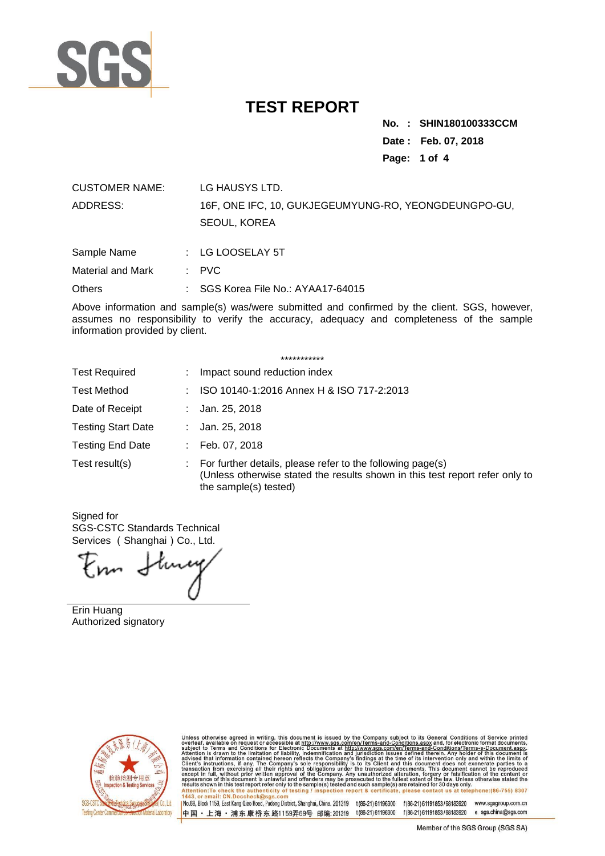

**No. : .SHIN180100333CCM Date : Feb. 07, 2018 Page: 1 of 4**

| <b>CUSTOMER NAME:</b>    | LG HAUSYS LTD.                                                       |
|--------------------------|----------------------------------------------------------------------|
| ADDRESS:                 | 16F, ONE IFC, 10, GUKJEGEUMYUNG-RO, YEONGDEUNGPO-GU,<br>SEOUL, KOREA |
| Sample Name              | $\therefore$ LG LOOSELAY 5T                                          |
| <b>Material and Mark</b> | $\therefore$ PVC                                                     |

Others : SGS Korea File No.: AYAA17-64015

Above information and sample(s) was/were submitted and confirmed by the client. SGS, however, assumes no responsibility to verify the accuracy, adequacy and completeness of the sample information provided by client.

|                           | ***********                                                                                                                                                         |
|---------------------------|---------------------------------------------------------------------------------------------------------------------------------------------------------------------|
| <b>Test Required</b>      | Impact sound reduction index                                                                                                                                        |
| <b>Test Method</b>        | ISO 10140-1:2016 Annex H & ISO 717-2:2013                                                                                                                           |
| Date of Receipt           | Jan. 25, 2018                                                                                                                                                       |
| <b>Testing Start Date</b> | Jan. 25, 2018                                                                                                                                                       |
| <b>Testing End Date</b>   | Feb. 07, 2018                                                                                                                                                       |
| Test result(s)            | For further details, please refer to the following page(s)<br>(Unless otherwise stated the results shown in this test report refer only to<br>the sample(s) tested) |

Signed for SGS-CSTC Standards Technical Services (Shanghai) Co., Ltd.

Enn Stury

Erin Huang Authorized signatory



Unless otherwise agreed in writing, this document is issued by the Company subject to its General Conditions of Service printed overleaf, available on request or accessible at http://www.sgs.com/en/Terms-and-Conditions.as

1No.69, Block 1159, East Kang Qiao Road, Pudong District, Shanghai, China. 201319 t(86-21) 61196300 f(86-21) 61191853/68183920 www.sgsgroup.com.cn 中国·上海·浦东康桥东路1159弄69号 邮编:201319 t(86-21)61196300 f(86-21)61191853/68183920 e sgs.china@sgs.com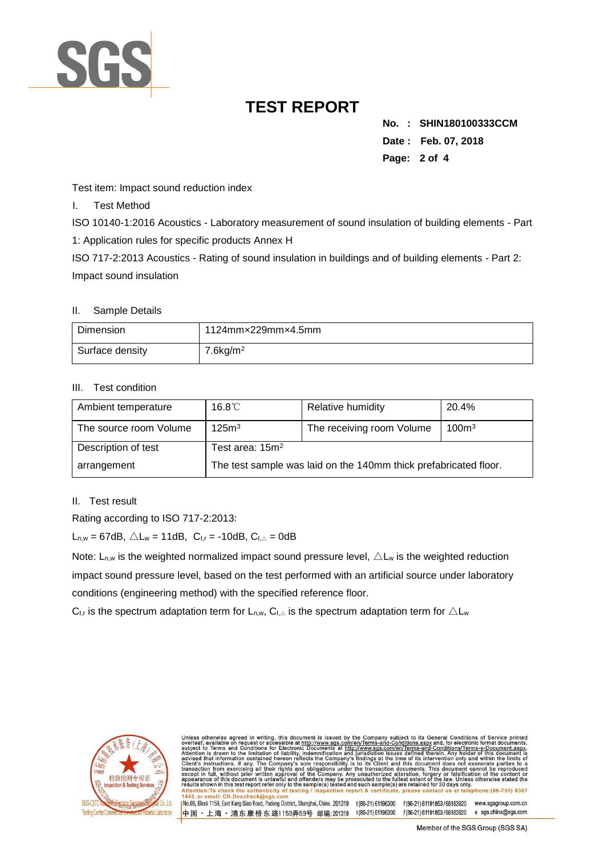

**No. : .SHIN180100333CCM Date : Feb. 07, 2018 Page: 2 of 4**

Test item: Impact sound reduction index

I. Test Method

ISO 10140-1:2016 Acoustics - Laboratory measurement of sound insulation of building elements - Part 1: Application rules for specific products Annex H

ISO 717-2:2013 Acoustics - Rating of sound insulation in buildings and of building elements - Part 2: Impact sound insulation

#### II. Sample Details

| Dimension       | 1124mmx229mmx4.5mm      |
|-----------------|-------------------------|
| Surface density | $7.6$ kg/m <sup>2</sup> |

#### III. Test condition

| Ambient temperature    | $16.8^{\circ}$ C                                                 | Relative humidity         | 20.4%             |  |
|------------------------|------------------------------------------------------------------|---------------------------|-------------------|--|
| The source room Volume | 125m <sup>3</sup>                                                | The receiving room Volume | 100 <sup>m3</sup> |  |
| Description of test    | Test area: $15m²$                                                |                           |                   |  |
| arrangement            | The test sample was laid on the 140mm thick prefabricated floor. |                           |                   |  |

#### II. Test result

Rating according to ISO 717-2:2013:

 $L_{n,w} = 67dB$ ,  $\triangle L_w = 11dB$ ,  $C_{1,r} = -10dB$ ,  $C_{1,\triangle} = 0dB$ 

Note:  $L_{n,w}$  is the weighted normalized impact sound pressure level,  $\triangle L_w$  is the weighted reduction impact sound pressure level, based on the test performed with an artificial source under laboratory conditions (engineering method) with the specified reference floor.

中国・上海・浦东康桥东路1159弄69号 邮编:201319 t(86-21)61196300

C<sub>I,r</sub> is the spectrum adaptation term for L<sub>n,w</sub>, C<sub>I, $\triangle$ </sub> is the spectrum adaptation term for  $\triangle$  L<sub>w</sub>



f(86-21) 61191853/68183920 e sgs.china@sgs.com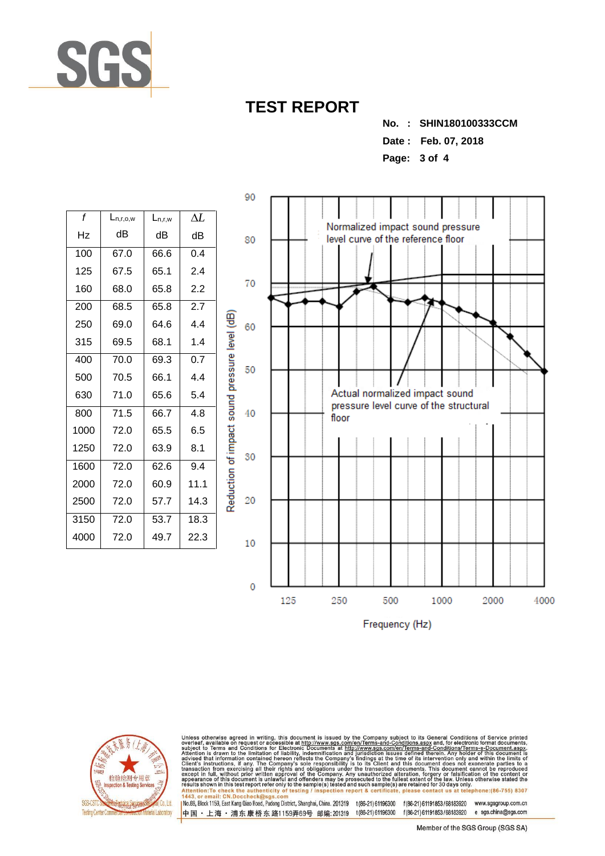

**No. : .SHIN180100333CCM**

**Date : Feb. 07, 2018**

**Page: 3 of 4**

| f    | $L_{n,r,o,w}$ | $L_{n,r,w}$ | AL               |
|------|---------------|-------------|------------------|
| Hz   | dВ            | dB          | dB               |
| 100  | 67.0          | 66.6        | 0.4              |
| 125  | 67.5          | 65.1        | 2.4              |
| 160  | 68.0          | 65.8        | 2.2              |
| 200  | 68.5          | 65.8        | 2.7              |
| 250  | 69.0          | 64.6        | 4.4              |
| 315  | 69.5          | 68.1        | 1.4              |
| 400  | 70.0          | 69.3        | $0.\overline{7}$ |
| 500  | 70.5          | 66.1        | 4.4              |
| 630  | 71.0          | 65.6        | 5.4              |
| 800  | 71.5          | 66.7        | 48               |
| 1000 | 72.0          | 65.5        | 6.5              |
| 1250 | 72.0          | 63.9        | 8.1              |
| 1600 | 72.0          | 62.6        | 9.4              |
| 2000 | 72.0          | 60.9        | 11.1             |
| 2500 | 72.0          | 57.7        | 14.3             |
| 3150 | 72.0          | 53.7        | 18.3             |
| 4000 | 72.0          | 49.7        | 22.3             |

Reduction of impact sound pressure level (dB)



Frequency (Hz)



Unless otherwise agreed in writing, this document is issued by the Company subject to its General Conditions of Service printed overleaf, available on request or accessible at http://www.sgs.com/en/Terms-and-Conditions.as

INc.69, Block 1159, East Kang Qiao Road, Pudong District, Shanghai, China. 201319 t(86-21)61196300 f(86-21)61191853/68183920 www.sgsgroup.com.cn 中国 · 上海 · 浦东康桥东路1159弄69号 邮编:201319 t(86-21)61196300 f(86-21)61191853/68183920 e sgs.china@sgs.com